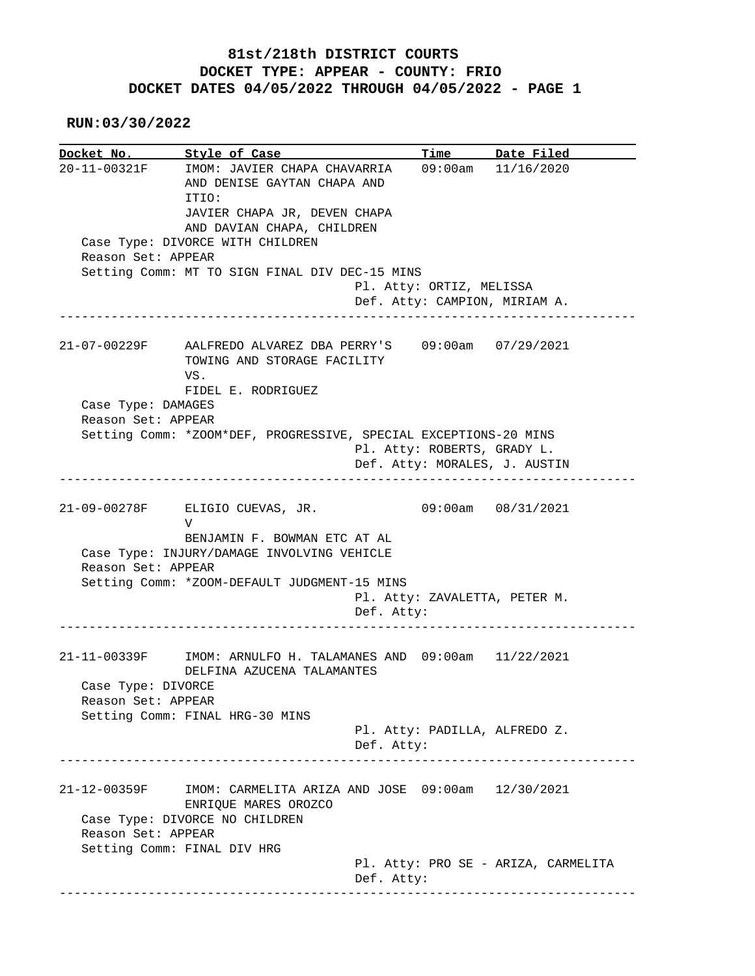## **81st/218th DISTRICT COURTS DOCKET TYPE: APPEAR - COUNTY: FRIO DOCKET DATES 04/05/2022 THROUGH 04/05/2022 - PAGE 1**

 **RUN:03/30/2022**

**Docket No. Style of Case Time Date Filed**  20-11-00321F IMOM: JAVIER CHAPA CHAVARRIA 09:00am 11/16/2020 AND DENISE GAYTAN CHAPA AND ITIO: JAVIER CHAPA JR, DEVEN CHAPA AND DAVIAN CHAPA, CHILDREN Case Type: DIVORCE WITH CHILDREN Reason Set: APPEAR Setting Comm: MT TO SIGN FINAL DIV DEC-15 MINS Pl. Atty: ORTIZ, MELISSA Def. Atty: CAMPION, MIRIAM A. ------------------------------------------------------------------------------ 21-07-00229F AALFREDO ALVAREZ DBA PERRY'S 09:00am 07/29/2021 TOWING AND STORAGE FACILITY VS. FIDEL E. RODRIGUEZ Case Type: DAMAGES Reason Set: APPEAR Setting Comm: \*ZOOM\*DEF, PROGRESSIVE, SPECIAL EXCEPTIONS-20 MINS Pl. Atty: ROBERTS, GRADY L. Def. Atty: MORALES, J. AUSTIN ------------------------------------------------------------------------------ 21-09-00278F ELIGIO CUEVAS, JR. 09:00am 08/31/2021 V BENJAMIN F. BOWMAN ETC AT AL Case Type: INJURY/DAMAGE INVOLVING VEHICLE Reason Set: APPEAR Setting Comm: \*ZOOM-DEFAULT JUDGMENT-15 MINS Pl. Atty: ZAVALETTA, PETER M. Def. Atty: ------------------------------------------------------------------------------ 21-11-00339F IMOM: ARNULFO H. TALAMANES AND 09:00am 11/22/2021 DELFINA AZUCENA TALAMANTES Case Type: DIVORCE Reason Set: APPEAR Setting Comm: FINAL HRG-30 MINS Pl. Atty: PADILLA, ALFREDO Z. Def. Atty: ------------------------------------------------------------------------------ 21-12-00359F IMOM: CARMELITA ARIZA AND JOSE 09:00am 12/30/2021 ENRIQUE MARES OROZCO Case Type: DIVORCE NO CHILDREN Reason Set: APPEAR Setting Comm: FINAL DIV HRG Pl. Atty: PRO SE - ARIZA, CARMELITA Def. Atty: ------------------------------------------------------------------------------